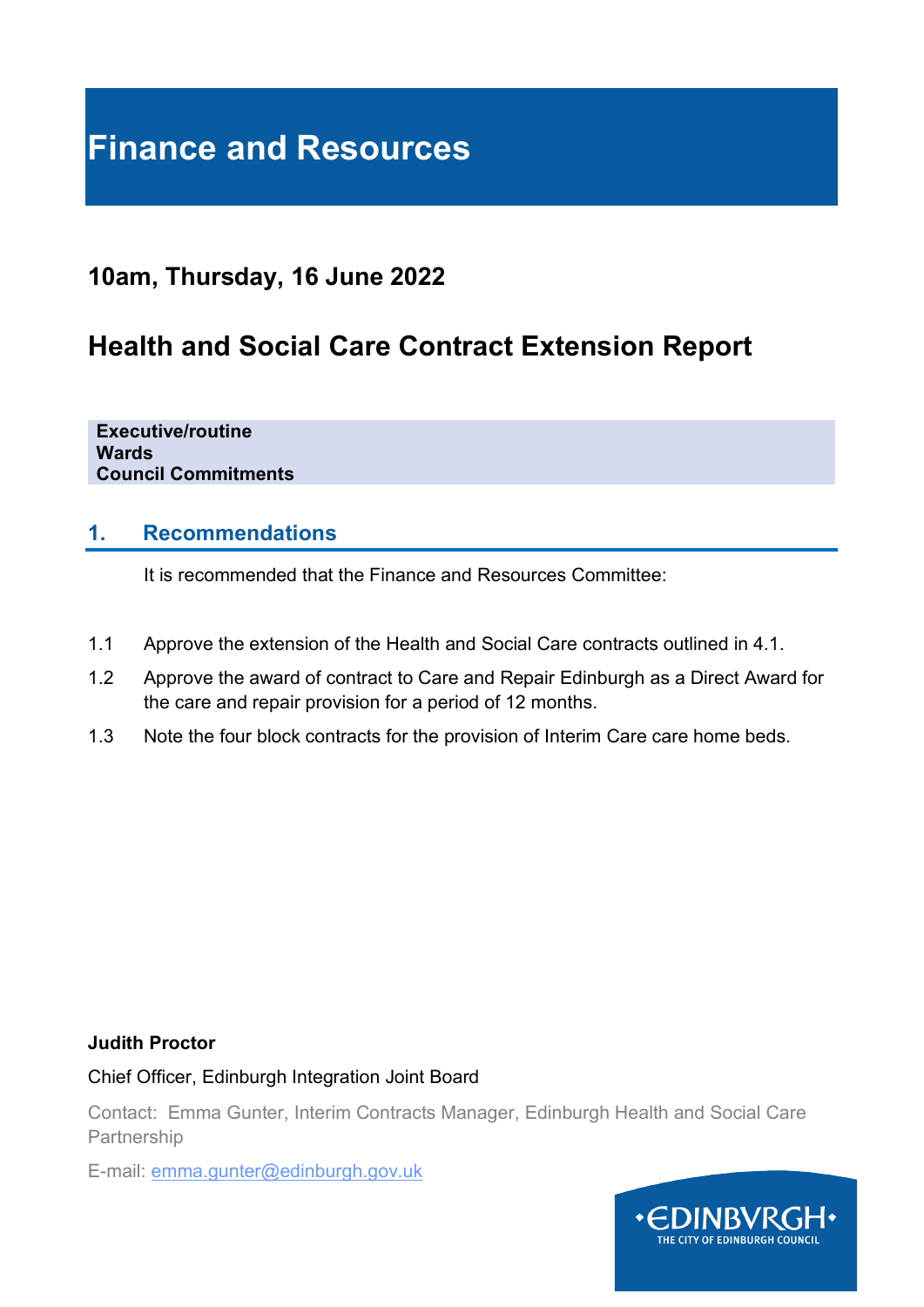# **Finance and Resources**

## **10am, Thursday, 16 June 2022**

## **Health and Social Care Contract Extension Report**

**Executive/routine Wards Council Commitments**

### **1. Recommendations**

It is recommended that the Finance and Resources Committee:

- 1.1 Approve the extension of the Health and Social Care contracts outlined in 4.1.
- 1.2 Approve the award of contract to Care and Repair Edinburgh as a Direct Award for the care and repair provision for a period of 12 months.
- 1.3 Note the four block contracts for the provision of Interim Care care home beds.

#### **Judith Proctor**

#### Chief Officer, Edinburgh Integration Joint Board

Contact: Emma Gunter, Interim Contracts Manager, Edinburgh Health and Social Care Partnership

E-mail: [emma.gunter@edinburgh.gov.uk](mailto:kirsty-louise.campbell@edinburgh.gov.uk)

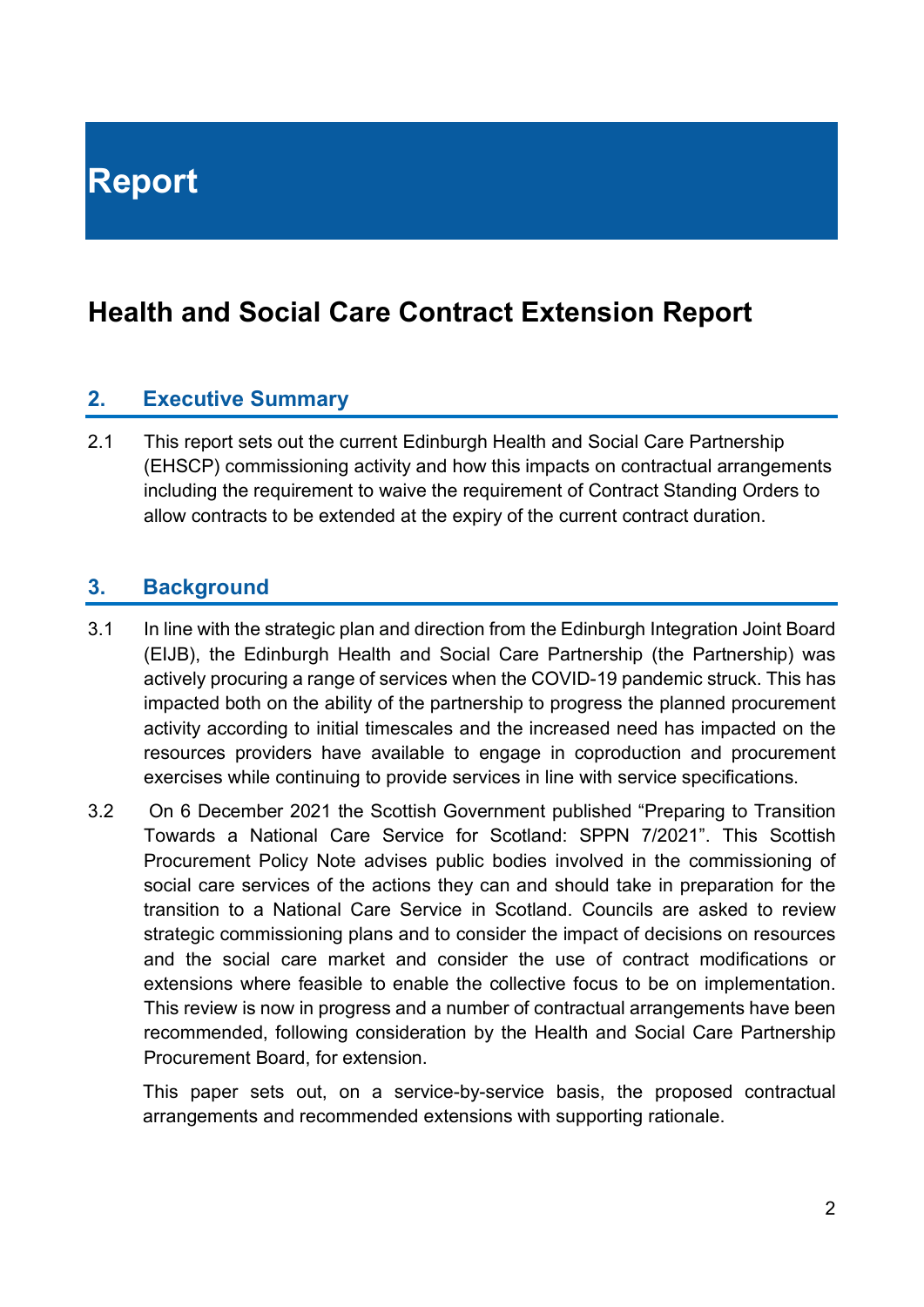**Report**

## **Health and Social Care Contract Extension Report**

#### **2. Executive Summary**

2.1 This report sets out the current Edinburgh Health and Social Care Partnership (EHSCP) commissioning activity and how this impacts on contractual arrangements including the requirement to waive the requirement of Contract Standing Orders to allow contracts to be extended at the expiry of the current contract duration.

### **3. Background**

- 3.1 In line with the strategic plan and direction from the Edinburgh Integration Joint Board (EIJB), the Edinburgh Health and Social Care Partnership (the Partnership) was actively procuring a range of services when the COVID-19 pandemic struck. This has impacted both on the ability of the partnership to progress the planned procurement activity according to initial timescales and the increased need has impacted on the resources providers have available to engage in coproduction and procurement exercises while continuing to provide services in line with service specifications.
- 3.2 On 6 December 2021 the Scottish Government published "Preparing to Transition Towards a National Care Service for Scotland: SPPN 7/2021". This Scottish Procurement Policy Note advises public bodies involved in the commissioning of social care services of the actions they can and should take in preparation for the transition to a National Care Service in Scotland. Councils are asked to review strategic commissioning plans and to consider the impact of decisions on resources and the social care market and consider the use of contract modifications or extensions where feasible to enable the collective focus to be on implementation. This review is now in progress and a number of contractual arrangements have been recommended, following consideration by the Health and Social Care Partnership Procurement Board, for extension.

This paper sets out, on a service-by-service basis, the proposed contractual arrangements and recommended extensions with supporting rationale.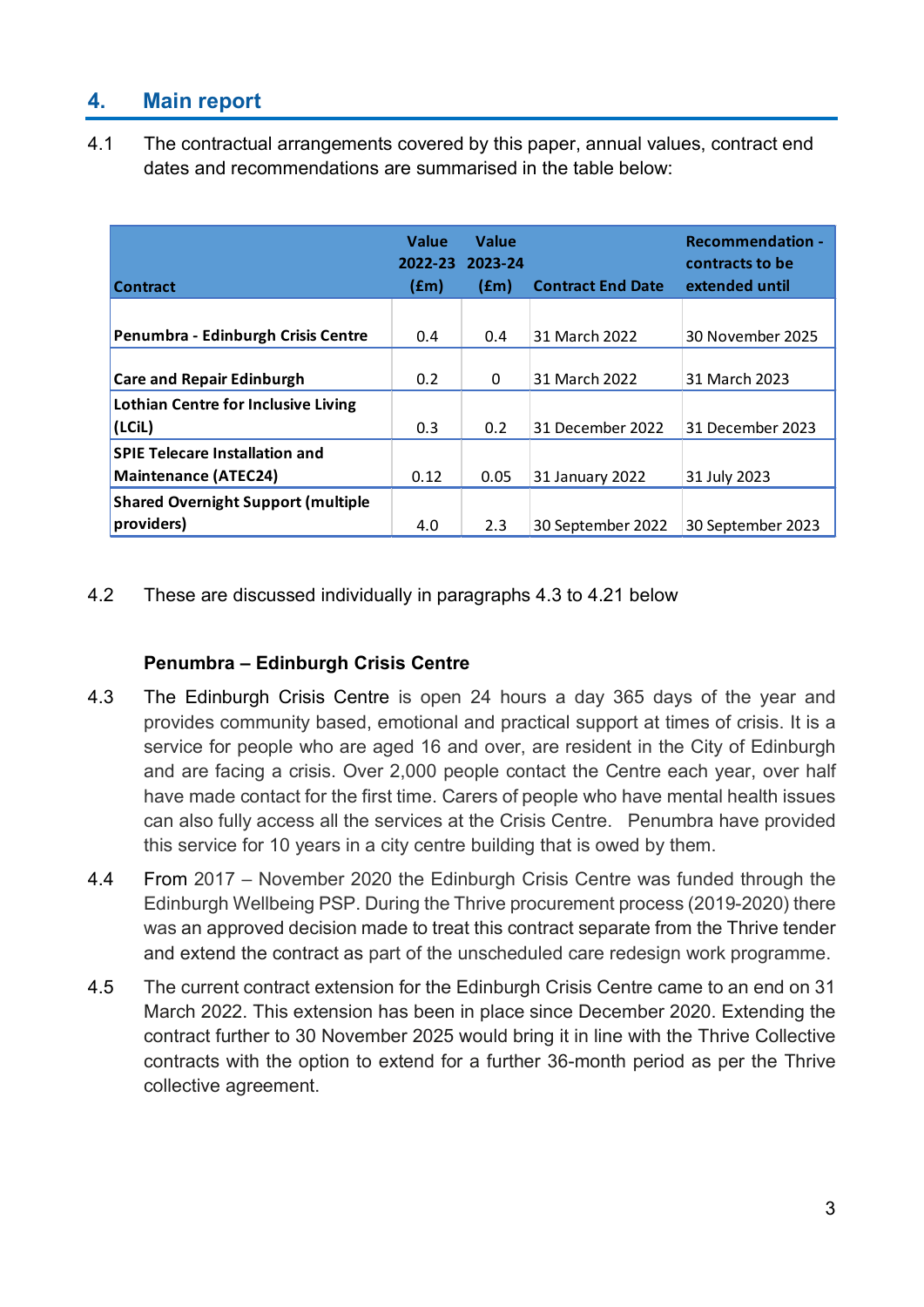## **4. Main report**

| 4.1 | The contractual arrangements covered by this paper, annual values, contract end |
|-----|---------------------------------------------------------------------------------|
|     | dates and recommendations are summarised in the table below:                    |

| <b>Contract</b>                           | Value<br>$2022 - 23$<br>(f <sub>em</sub> ) | Value<br>2023-24<br>(fm) | <b>Contract End Date</b> | <b>Recommendation -</b><br>contracts to be<br>extended until |
|-------------------------------------------|--------------------------------------------|--------------------------|--------------------------|--------------------------------------------------------------|
|                                           |                                            |                          |                          |                                                              |
| Penumbra - Edinburgh Crisis Centre        | 0.4                                        | 0.4                      | 31 March 2022            | 30 November 2025                                             |
|                                           |                                            |                          |                          |                                                              |
| <b>Care and Repair Edinburgh</b>          | 0.2                                        | 0                        | 31 March 2022            | 31 March 2023                                                |
| Lothian Centre for Inclusive Living       |                                            |                          |                          |                                                              |
| (LCiL)                                    | 0.3                                        | 0.2                      | 31 December 2022         | 31 December 2023                                             |
| <b>SPIE Telecare Installation and</b>     |                                            |                          |                          |                                                              |
| <b>Maintenance (ATEC24)</b>               | 0.12                                       | 0.05                     | 31 January 2022          | 31 July 2023                                                 |
| <b>Shared Overnight Support (multiple</b> |                                            |                          |                          |                                                              |
| providers)                                | 4.0                                        | 2.3                      | 30 September 2022        | 30 September 2023                                            |

4.2 These are discussed individually in paragraphs 4.3 to 4.21 below

#### **Penumbra – Edinburgh Crisis Centre**

- 4.3 The Edinburgh Crisis Centre is open 24 hours a day 365 days of the year and provides community based, emotional and practical support at times of crisis. It is a service for people who are aged 16 and over, are resident in the City of Edinburgh and are facing a crisis. Over 2,000 people contact the Centre each year, over half have made contact for the first time. Carers of people who have mental health issues can also fully access all the services at the Crisis Centre. Penumbra have provided this service for 10 years in a city centre building that is owed by them.
- 4.4 From 2017 November 2020 the Edinburgh Crisis Centre was funded through the Edinburgh Wellbeing PSP. During the Thrive procurement process (2019-2020) there was an approved decision made to treat this contract separate from the Thrive tender and extend the contract as part of the unscheduled care redesign work programme.
- 4.5 The current contract extension for the Edinburgh Crisis Centre came to an end on 31 March 2022. This extension has been in place since December 2020. Extending the contract further to 30 November 2025 would bring it in line with the Thrive Collective contracts with the option to extend for a further 36-month period as per the Thrive collective agreement.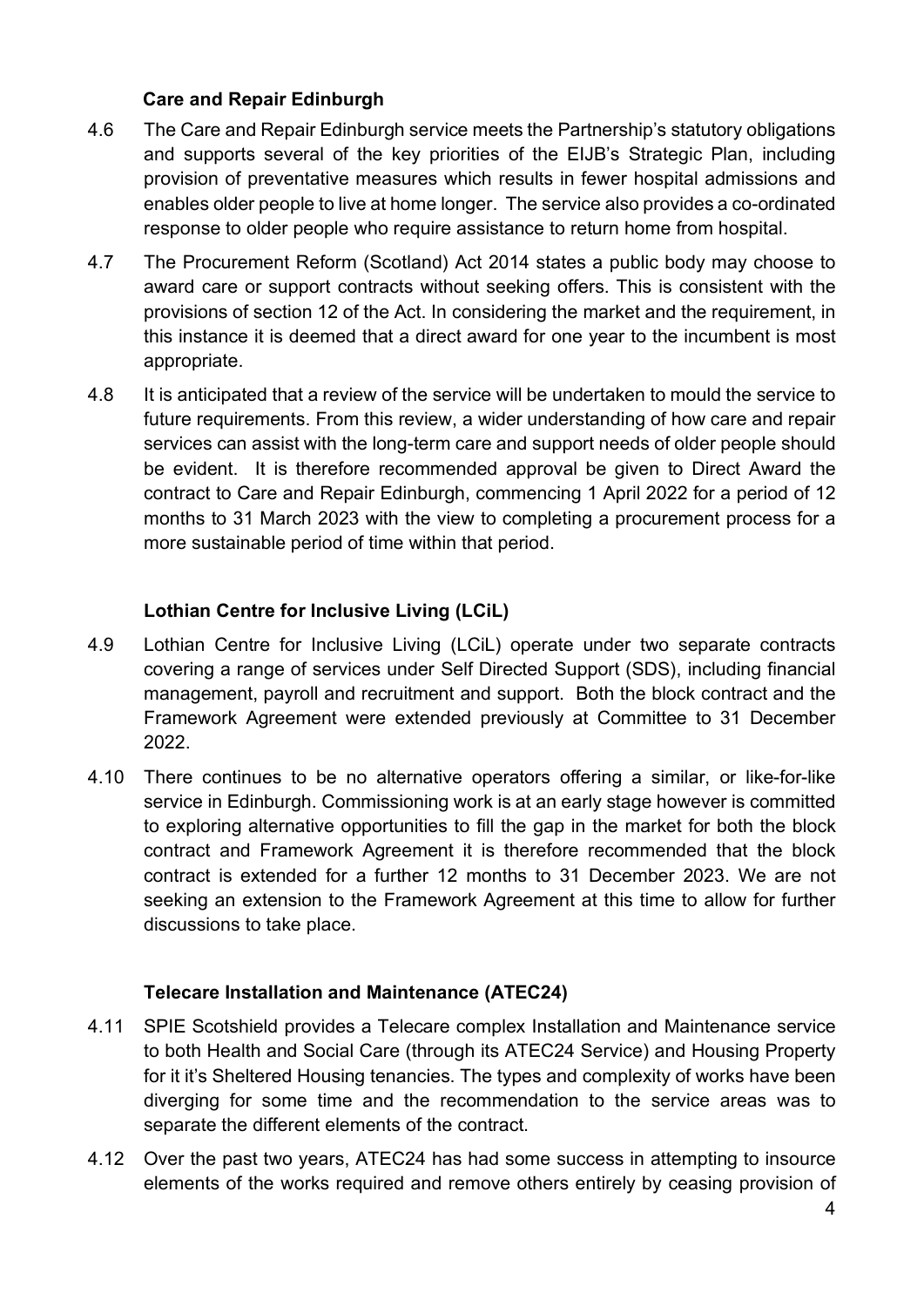#### **Care and Repair Edinburgh**

- 4.6 The Care and Repair Edinburgh service meets the Partnership's statutory obligations and supports several of the key priorities of the EIJB's Strategic Plan, including provision of preventative measures which results in fewer hospital admissions and enables older people to live at home longer. The service also provides a co-ordinated response to older people who require assistance to return home from hospital.
- 4.7 The Procurement Reform (Scotland) Act 2014 states a public body may choose to award care or support contracts without seeking offers. This is consistent with the provisions of section 12 of the Act. In considering the market and the requirement, in this instance it is deemed that a direct award for one year to the incumbent is most appropriate.
- 4.8 It is anticipated that a review of the service will be undertaken to mould the service to future requirements. From this review, a wider understanding of how care and repair services can assist with the long-term care and support needs of older people should be evident. It is therefore recommended approval be given to Direct Award the contract to Care and Repair Edinburgh, commencing 1 April 2022 for a period of 12 months to 31 March 2023 with the view to completing a procurement process for a more sustainable period of time within that period.

#### **Lothian Centre for Inclusive Living (LCiL)**

- 4.9 Lothian Centre for Inclusive Living (LCiL) operate under two separate contracts covering a range of services under Self Directed Support (SDS), including financial management, payroll and recruitment and support. Both the block contract and the Framework Agreement were extended previously at Committee to 31 December 2022.
- 4.10 There continues to be no alternative operators offering a similar, or like-for-like service in Edinburgh. Commissioning work is at an early stage however is committed to exploring alternative opportunities to fill the gap in the market for both the block contract and Framework Agreement it is therefore recommended that the block contract is extended for a further 12 months to 31 December 2023. We are not seeking an extension to the Framework Agreement at this time to allow for further discussions to take place.

#### **Telecare Installation and Maintenance (ATEC24)**

- 4.11 SPIE Scotshield provides a Telecare complex Installation and Maintenance service to both Health and Social Care (through its ATEC24 Service) and Housing Property for it it's Sheltered Housing tenancies. The types and complexity of works have been diverging for some time and the recommendation to the service areas was to separate the different elements of the contract.
- 4.12 Over the past two years, ATEC24 has had some success in attempting to insource elements of the works required and remove others entirely by ceasing provision of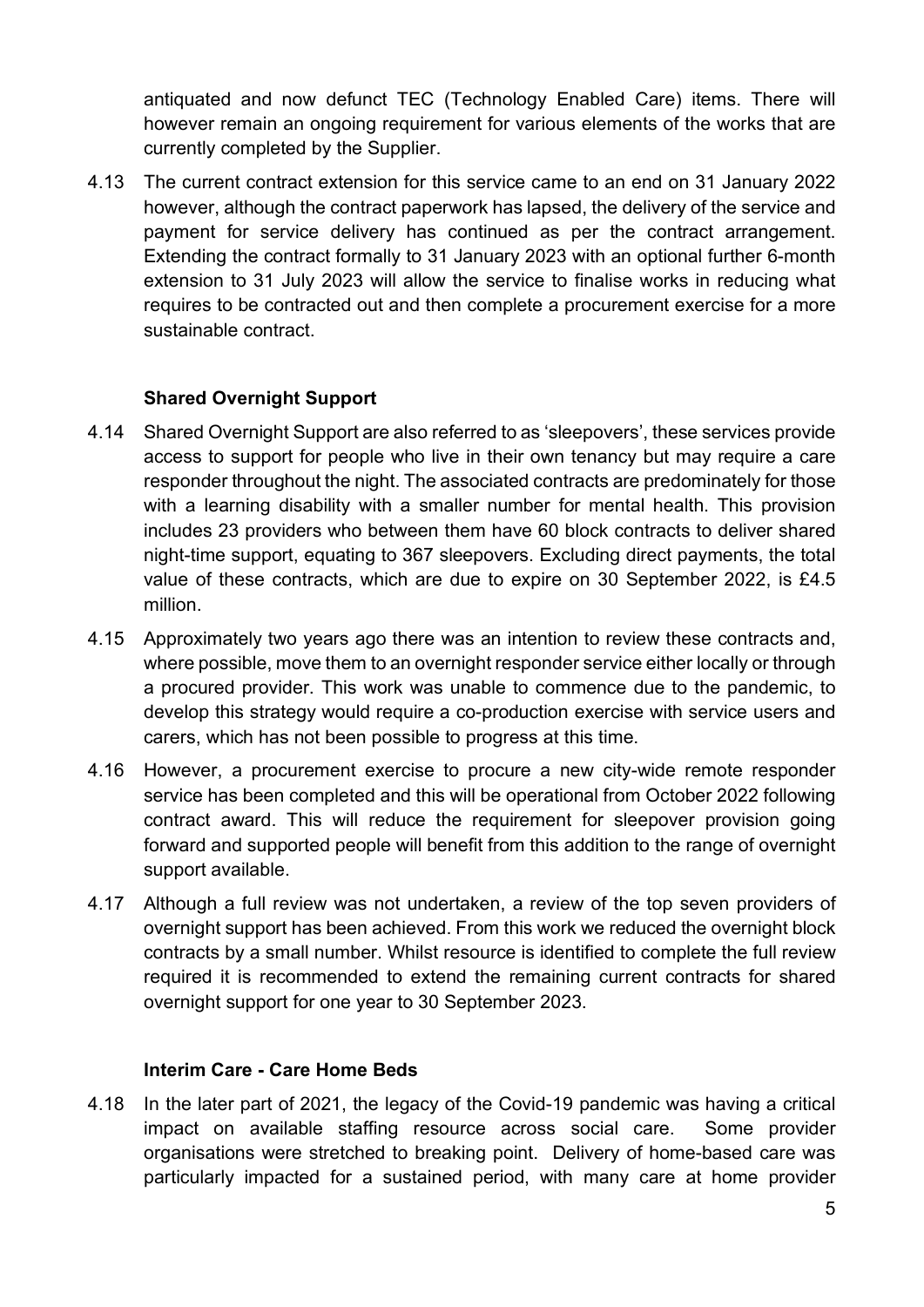antiquated and now defunct TEC (Technology Enabled Care) items. There will however remain an ongoing requirement for various elements of the works that are currently completed by the Supplier.

4.13 The current contract extension for this service came to an end on 31 January 2022 however, although the contract paperwork has lapsed, the delivery of the service and payment for service delivery has continued as per the contract arrangement. Extending the contract formally to 31 January 2023 with an optional further 6-month extension to 31 July 2023 will allow the service to finalise works in reducing what requires to be contracted out and then complete a procurement exercise for a more sustainable contract.

#### **Shared Overnight Support**

- 4.14 Shared Overnight Support are also referred to as 'sleepovers', these services provide access to support for people who live in their own tenancy but may require a care responder throughout the night. The associated contracts are predominately for those with a learning disability with a smaller number for mental health. This provision includes 23 providers who between them have 60 block contracts to deliver shared night-time support, equating to 367 sleepovers. Excluding direct payments, the total value of these contracts, which are due to expire on 30 September 2022, is £4.5 million.
- 4.15 Approximately two years ago there was an intention to review these contracts and, where possible, move them to an overnight responder service either locally or through a procured provider. This work was unable to commence due to the pandemic, to develop this strategy would require a co-production exercise with service users and carers, which has not been possible to progress at this time.
- 4.16 However, a procurement exercise to procure a new city-wide remote responder service has been completed and this will be operational from October 2022 following contract award. This will reduce the requirement for sleepover provision going forward and supported people will benefit from this addition to the range of overnight support available.
- 4.17 Although a full review was not undertaken, a review of the top seven providers of overnight support has been achieved. From this work we reduced the overnight block contracts by a small number. Whilst resource is identified to complete the full review required it is recommended to extend the remaining current contracts for shared overnight support for one year to 30 September 2023.

#### **Interim Care - Care Home Beds**

4.18 In the later part of 2021, the legacy of the Covid-19 pandemic was having a critical impact on available staffing resource across social care. Some provider organisations were stretched to breaking point. Delivery of home-based care was particularly impacted for a sustained period, with many care at home provider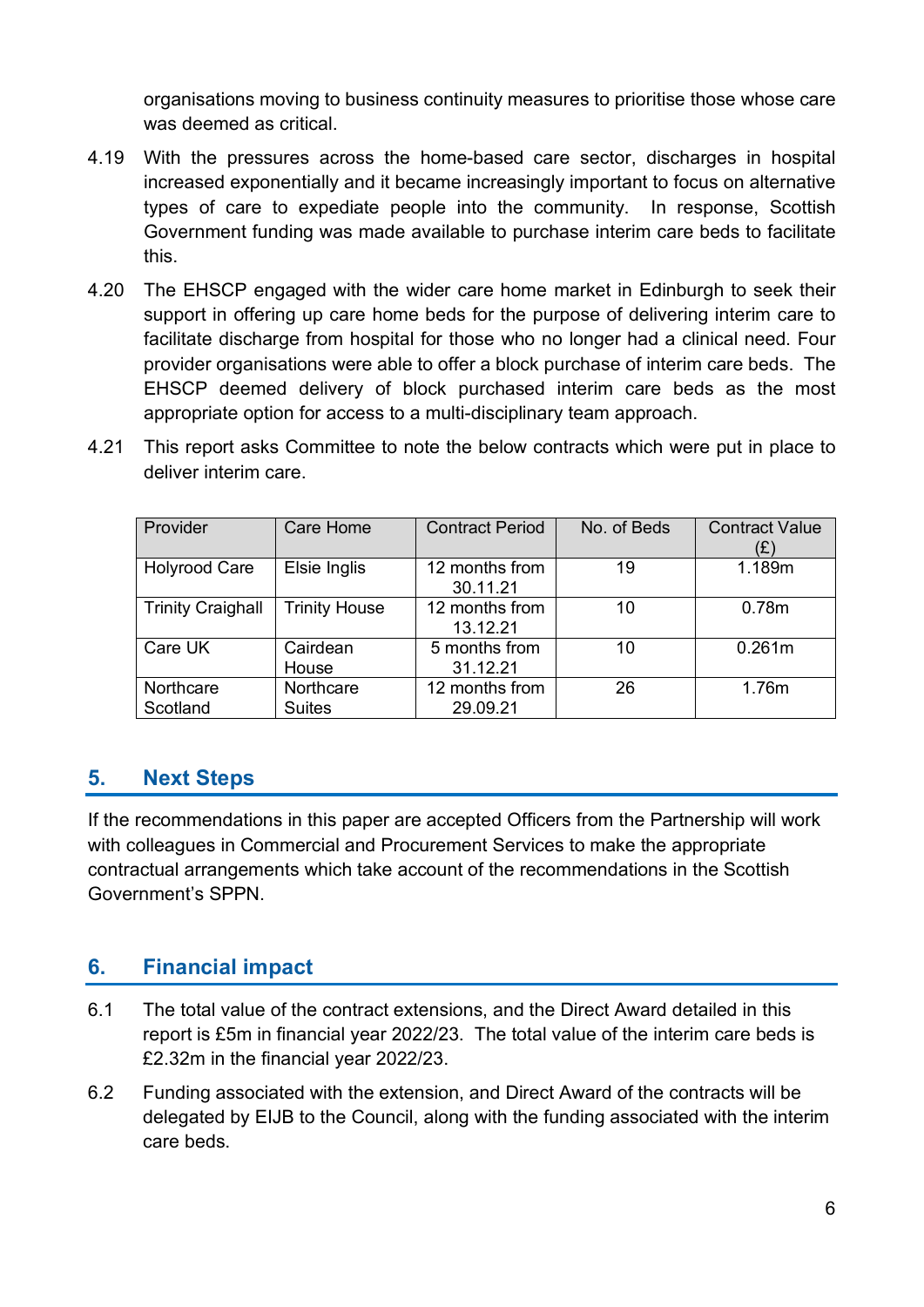organisations moving to business continuity measures to prioritise those whose care was deemed as critical.

- 4.19 With the pressures across the home-based care sector, discharges in hospital increased exponentially and it became increasingly important to focus on alternative types of care to expediate people into the community. In response, Scottish Government funding was made available to purchase interim care beds to facilitate this.
- 4.20 The EHSCP engaged with the wider care home market in Edinburgh to seek their support in offering up care home beds for the purpose of delivering interim care to facilitate discharge from hospital for those who no longer had a clinical need. Four provider organisations were able to offer a block purchase of interim care beds. The EHSCP deemed delivery of block purchased interim care beds as the most appropriate option for access to a multi-disciplinary team approach.
- 4.21 This report asks Committee to note the below contracts which were put in place to deliver interim care.

| Provider                 | Care Home                  | <b>Contract Period</b>     | No. of Beds | <b>Contract Value</b><br>(£) |
|--------------------------|----------------------------|----------------------------|-------------|------------------------------|
| <b>Holyrood Care</b>     | Elsie Inglis               | 12 months from<br>30.11.21 | 19          | 1.189m                       |
| <b>Trinity Craighall</b> | <b>Trinity House</b>       | 12 months from<br>13.12.21 | 10          | 0.78m                        |
| Care UK                  | Cairdean<br>House          | 5 months from<br>31.12.21  | 10          | 0.261m                       |
| Northcare<br>Scotland    | Northcare<br><b>Suites</b> | 12 months from<br>29.09.21 | 26          | 1.76m                        |

## **5. Next Steps**

If the recommendations in this paper are accepted Officers from the Partnership will work with colleagues in Commercial and Procurement Services to make the appropriate contractual arrangements which take account of the recommendations in the Scottish Government's SPPN.

## **6. Financial impact**

- 6.1 The total value of the contract extensions, and the Direct Award detailed in this report is £5m in financial year 2022/23. The total value of the interim care beds is £2.32m in the financial year 2022/23.
- 6.2 Funding associated with the extension, and Direct Award of the contracts will be delegated by EIJB to the Council, along with the funding associated with the interim care beds.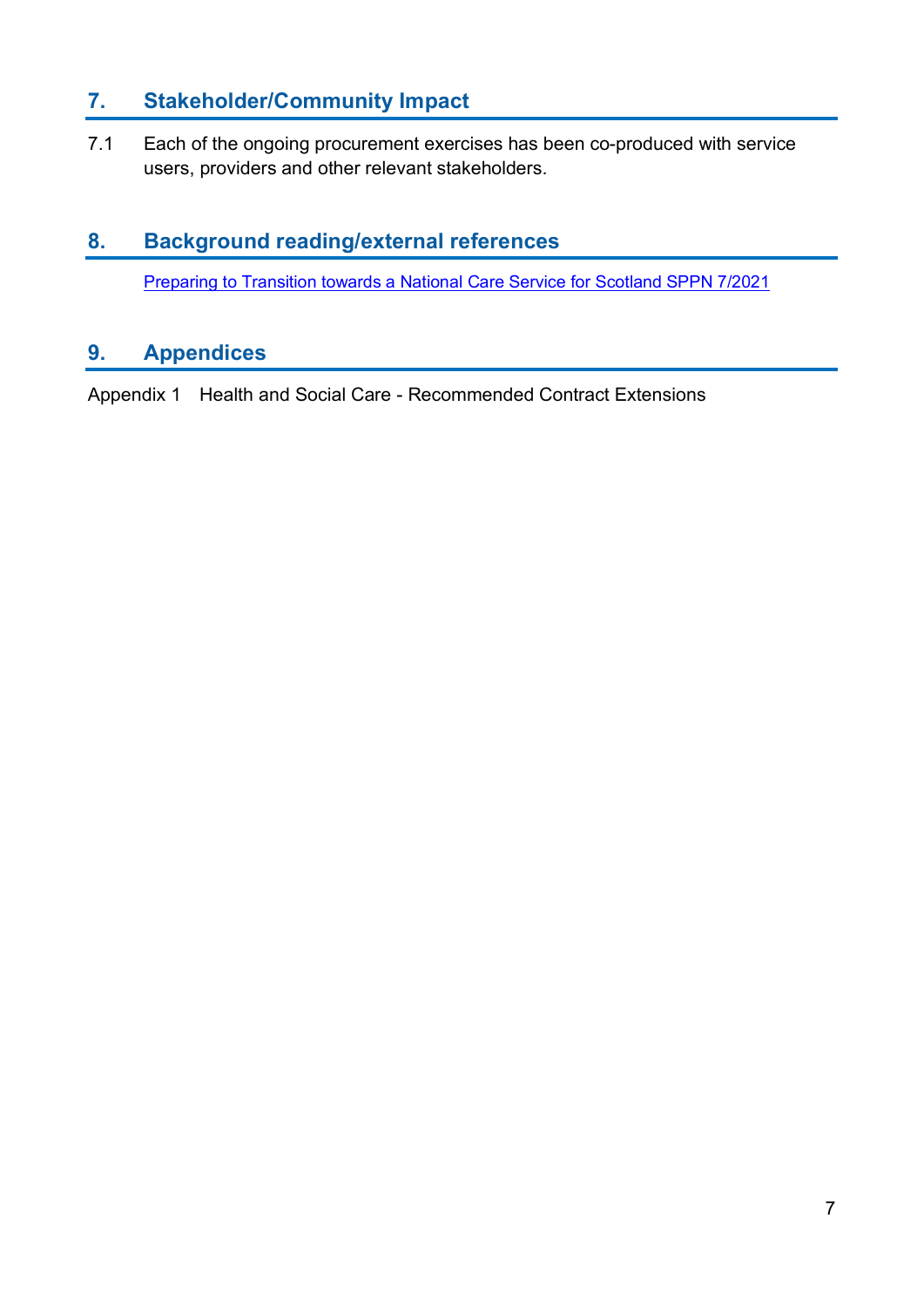## **7. Stakeholder/Community Impact**

7.1 Each of the ongoing procurement exercises has been co-produced with service users, providers and other relevant stakeholders.

## **8. Background reading/external references**

[Preparing to Transition towards a National Care Service for Scotland SPPN 7/2021](https://www.gov.scot/publications/preparing-to-transition-towards-a-national-care-service-for-scotland-sppn-7-2021/)

## **9. Appendices**

Appendix 1 Health and Social Care - Recommended Contract Extensions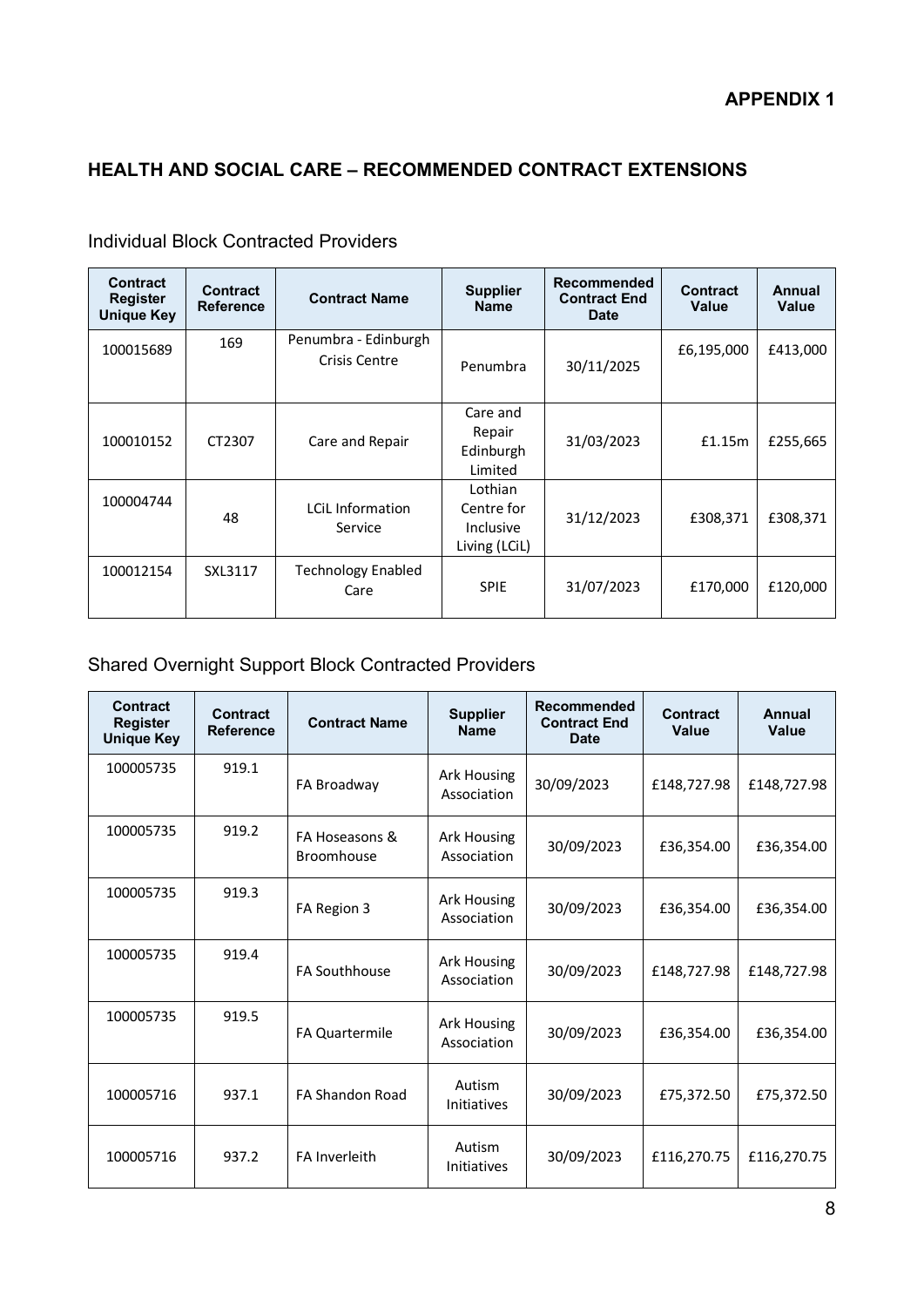#### **HEALTH AND SOCIAL CARE – RECOMMENDED CONTRACT EXTENSIONS**

| Contract<br>Register<br><b>Unique Key</b> | <b>Contract</b><br><b>Reference</b> | <b>Contract Name</b>                  | <b>Supplier</b><br><b>Name</b>                      | Recommended<br><b>Contract End</b><br><b>Date</b> | Contract<br><b>Value</b> | Annual<br>Value |
|-------------------------------------------|-------------------------------------|---------------------------------------|-----------------------------------------------------|---------------------------------------------------|--------------------------|-----------------|
| 100015689                                 | 169                                 | Penumbra - Edinburgh<br>Crisis Centre | Penumbra                                            | 30/11/2025                                        | £6,195,000               | £413,000        |
| 100010152                                 | CT2307                              | Care and Repair                       | Care and<br>Repair<br>Edinburgh<br>Limited          | 31/03/2023                                        | £1.15m                   | £255,665        |
| 100004744                                 | 48                                  | <b>LCiL Information</b><br>Service    | Lothian<br>Centre for<br>Inclusive<br>Living (LCiL) | 31/12/2023                                        | £308,371                 | £308,371        |
| 100012154                                 | SXL3117                             | <b>Technology Enabled</b><br>Care     | <b>SPIE</b>                                         | 31/07/2023                                        | £170,000                 | £120,000        |

#### Individual Block Contracted Providers

### Shared Overnight Support Block Contracted Providers

| Contract<br><b>Register</b><br><b>Unique Key</b> | <b>Contract</b><br><b>Reference</b> | <b>Contract Name</b>                | <b>Supplier</b><br><b>Name</b>    | Recommended<br><b>Contract End</b><br><b>Date</b> | <b>Contract</b><br>Value | Annual<br>Value |
|--------------------------------------------------|-------------------------------------|-------------------------------------|-----------------------------------|---------------------------------------------------|--------------------------|-----------------|
| 100005735                                        | 919.1                               | FA Broadway                         | <b>Ark Housing</b><br>Association | 30/09/2023                                        | £148,727.98              | £148,727.98     |
| 100005735                                        | 919.2                               | FA Hoseasons &<br><b>Broomhouse</b> | <b>Ark Housing</b><br>Association | 30/09/2023                                        | £36,354.00               | £36,354.00      |
| 100005735                                        | 919.3                               | FA Region 3                         | <b>Ark Housing</b><br>Association | 30/09/2023                                        | £36,354.00               | £36,354.00      |
| 100005735                                        | 919.4                               | <b>FA Southhouse</b>                | <b>Ark Housing</b><br>Association | 30/09/2023                                        | £148,727.98              | £148,727.98     |
| 100005735                                        | 919.5                               | FA Quartermile                      | <b>Ark Housing</b><br>Association | 30/09/2023                                        | £36,354.00               | £36,354.00      |
| 100005716                                        | 937.1                               | <b>FA Shandon Road</b>              | Autism<br><b>Initiatives</b>      | 30/09/2023                                        | £75,372.50               | £75,372.50      |
| 100005716                                        | 937.2                               | FA Inverleith                       | Autism<br><b>Initiatives</b>      | 30/09/2023                                        | £116,270.75              | £116,270.75     |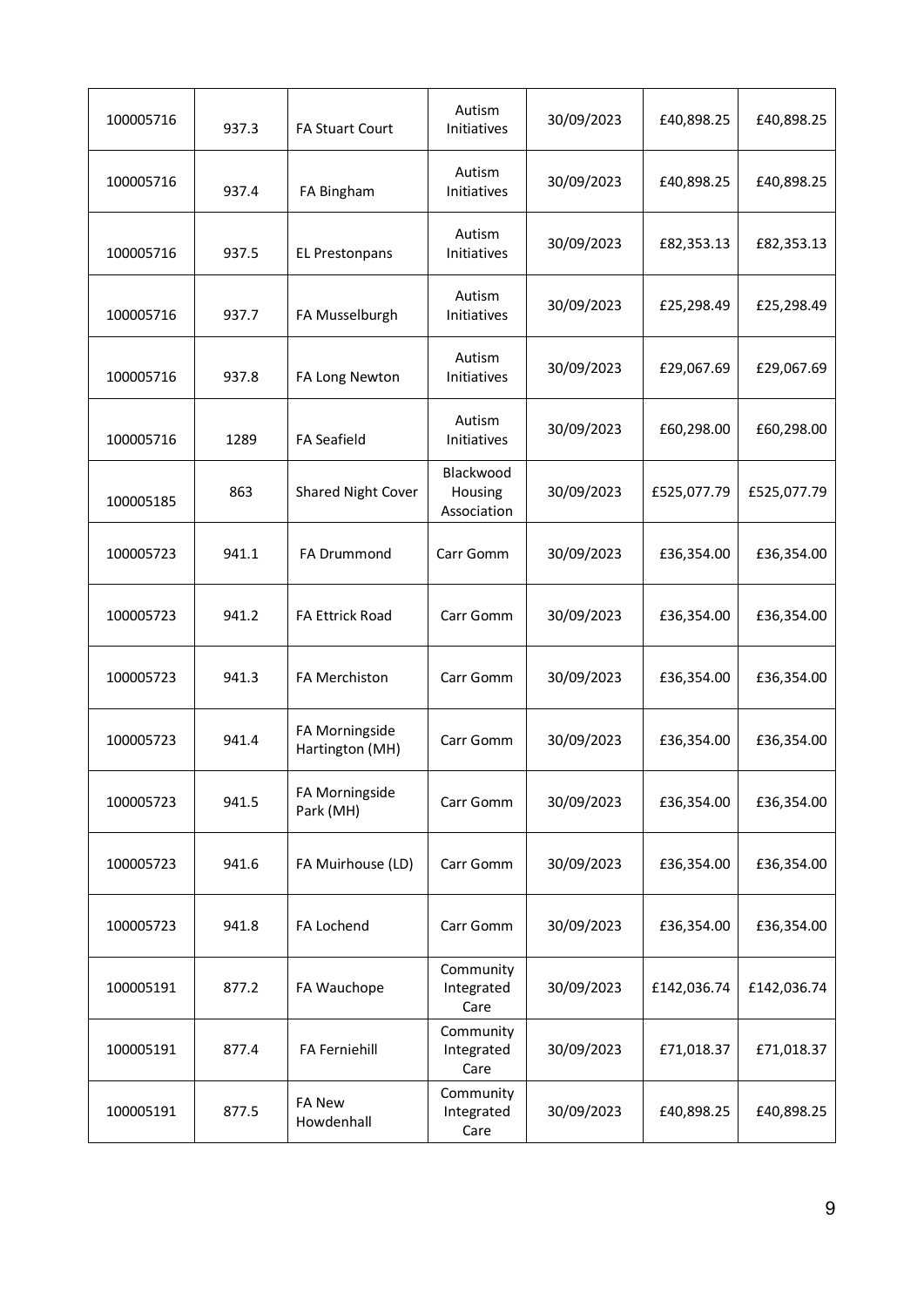| 100005716 | 937.3 | <b>FA Stuart Court</b>            | Autism<br>Initiatives               | 30/09/2023 | £40,898.25  | £40,898.25  |
|-----------|-------|-----------------------------------|-------------------------------------|------------|-------------|-------------|
| 100005716 | 937.4 | FA Bingham                        | Autism<br>Initiatives               | 30/09/2023 | £40,898.25  | £40,898.25  |
| 100005716 | 937.5 | <b>EL Prestonpans</b>             | Autism<br>Initiatives               | 30/09/2023 | £82,353.13  | £82,353.13  |
| 100005716 | 937.7 | FA Musselburgh                    | Autism<br>Initiatives               | 30/09/2023 | £25,298.49  | £25,298.49  |
| 100005716 | 937.8 | FA Long Newton                    | Autism<br>Initiatives               | 30/09/2023 | £29,067.69  | £29,067.69  |
| 100005716 | 1289  | FA Seafield                       | Autism<br>Initiatives               | 30/09/2023 | £60,298.00  | £60,298.00  |
| 100005185 | 863   | Shared Night Cover                | Blackwood<br>Housing<br>Association | 30/09/2023 | £525,077.79 | £525,077.79 |
| 100005723 | 941.1 | FA Drummond                       | Carr Gomm                           | 30/09/2023 | £36,354.00  | £36,354.00  |
| 100005723 | 941.2 | <b>FA Ettrick Road</b>            | Carr Gomm                           | 30/09/2023 | £36,354.00  | £36,354.00  |
| 100005723 | 941.3 | FA Merchiston                     | Carr Gomm                           | 30/09/2023 | £36,354.00  | £36,354.00  |
| 100005723 | 941.4 | FA Morningside<br>Hartington (MH) | Carr Gomm                           | 30/09/2023 | £36,354.00  | £36,354.00  |
| 100005723 | 941.5 | FA Morningside<br>Park (MH)       | Carr Gomm                           | 30/09/2023 | £36,354.00  | £36,354.00  |
| 100005723 | 941.6 | FA Muirhouse (LD)                 | Carr Gomm                           | 30/09/2023 | £36,354.00  | £36,354.00  |
| 100005723 | 941.8 | FA Lochend                        | Carr Gomm                           | 30/09/2023 | £36,354.00  | £36,354.00  |
| 100005191 | 877.2 | FA Wauchope                       | Community<br>Integrated<br>Care     | 30/09/2023 | £142,036.74 | £142,036.74 |
| 100005191 | 877.4 | FA Ferniehill                     | Community<br>Integrated<br>Care     | 30/09/2023 | £71,018.37  | £71,018.37  |
| 100005191 | 877.5 | <b>FA New</b><br>Howdenhall       | Community<br>Integrated<br>Care     | 30/09/2023 | £40,898.25  | £40,898.25  |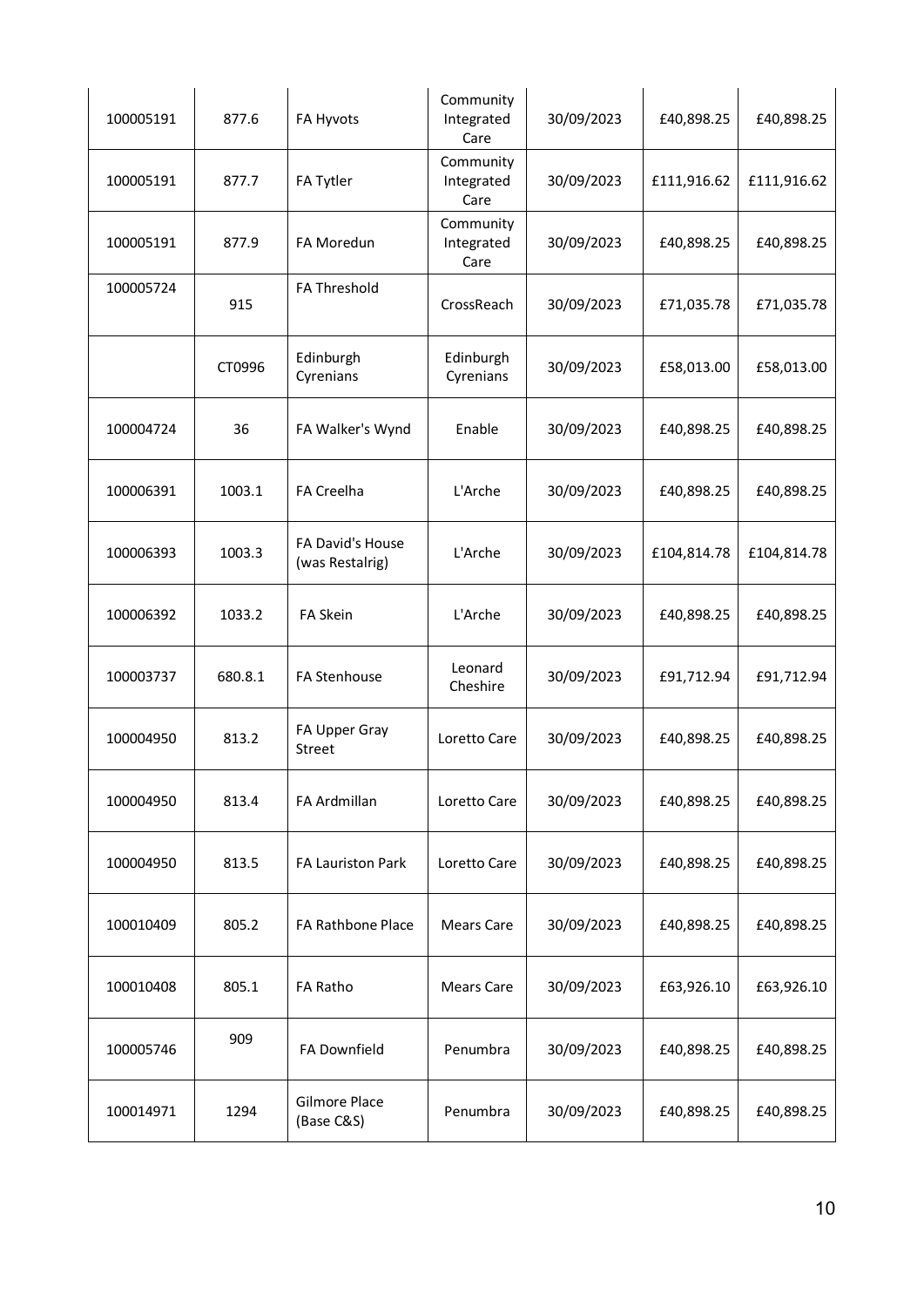| 100005191 | 877.6   | FA Hyvots                           | Community<br>Integrated<br>Care | 30/09/2023 | £40,898.25  | £40,898.25  |
|-----------|---------|-------------------------------------|---------------------------------|------------|-------------|-------------|
| 100005191 | 877.7   | FA Tytler                           | Community<br>Integrated<br>Care | 30/09/2023 | £111,916.62 | £111,916.62 |
| 100005191 | 877.9   | FA Moredun                          | Community<br>Integrated<br>Care | 30/09/2023 | £40,898.25  | £40,898.25  |
| 100005724 | 915     | FA Threshold                        | CrossReach                      | 30/09/2023 | £71,035.78  | £71,035.78  |
|           | CT0996  | Edinburgh<br>Cyrenians              | Edinburgh<br>Cyrenians          | 30/09/2023 | £58,013.00  | £58,013.00  |
| 100004724 | 36      | FA Walker's Wynd                    | Enable                          | 30/09/2023 | £40,898.25  | £40,898.25  |
| 100006391 | 1003.1  | FA Creelha                          | L'Arche                         | 30/09/2023 | £40,898.25  | £40,898.25  |
| 100006393 | 1003.3  | FA David's House<br>(was Restalrig) | L'Arche                         | 30/09/2023 | £104,814.78 | £104,814.78 |
| 100006392 | 1033.2  | FA Skein                            | L'Arche                         | 30/09/2023 | £40,898.25  | £40,898.25  |
| 100003737 | 680.8.1 | <b>FA Stenhouse</b>                 | Leonard<br>Cheshire             | 30/09/2023 | £91,712.94  | £91,712.94  |
| 100004950 | 813.2   | FA Upper Gray<br>Street             | Loretto Care                    | 30/09/2023 | £40,898.25  | £40,898.25  |
| 100004950 | 813.4   | FA Ardmillan                        | Loretto Care                    | 30/09/2023 | £40,898.25  | £40,898.25  |
| 100004950 | 813.5   | FA Lauriston Park                   | Loretto Care                    | 30/09/2023 | £40,898.25  | £40,898.25  |
| 100010409 | 805.2   | FA Rathbone Place                   | Mears Care                      | 30/09/2023 | £40,898.25  | £40,898.25  |
| 100010408 | 805.1   | FA Ratho                            | Mears Care                      | 30/09/2023 | £63,926.10  | £63,926.10  |
| 100005746 | 909     | FA Downfield                        | Penumbra                        | 30/09/2023 | £40,898.25  | £40,898.25  |
| 100014971 | 1294    | Gilmore Place<br>(Base C&S)         | Penumbra                        | 30/09/2023 | £40,898.25  | £40,898.25  |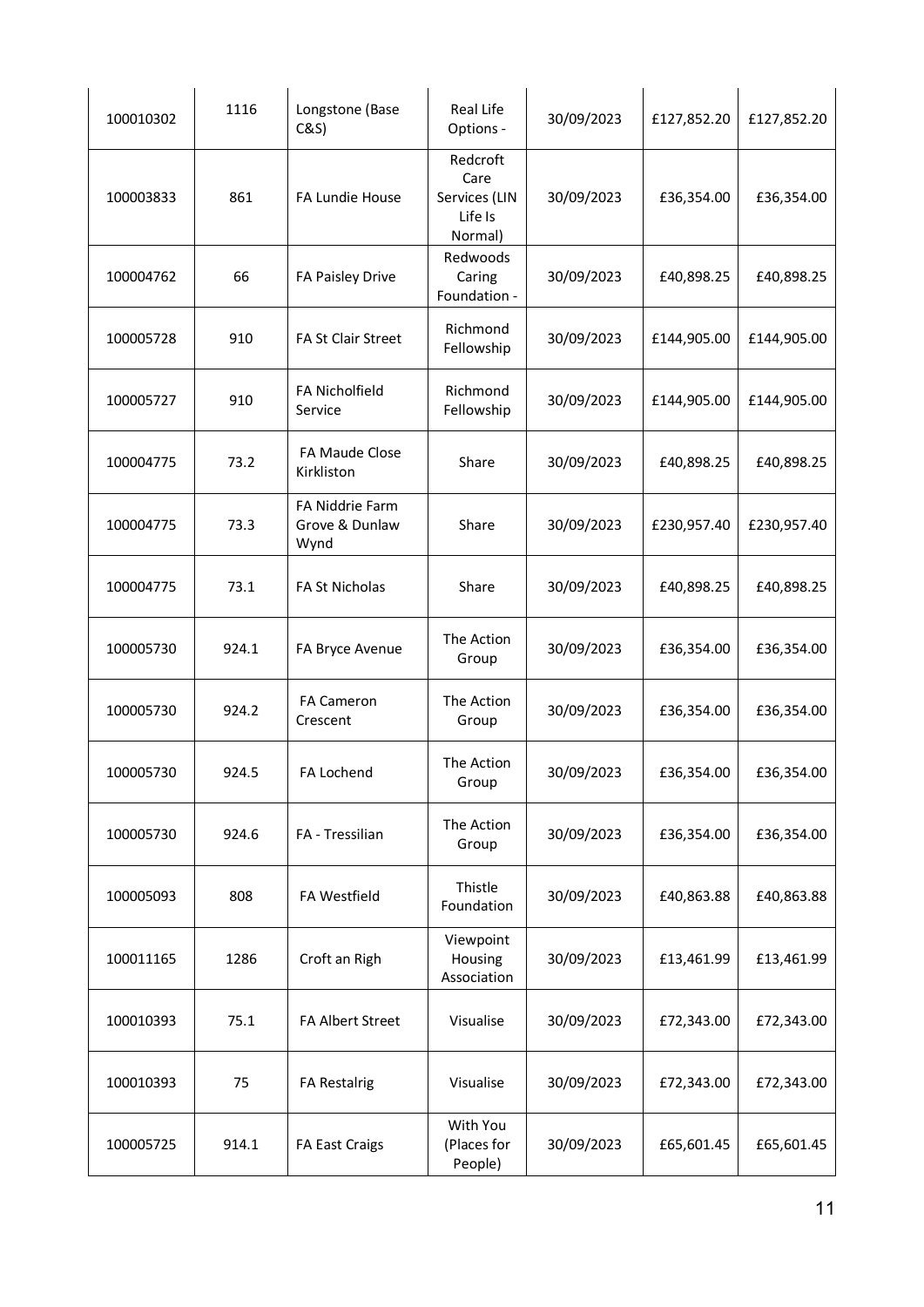| 100010302 | 1116  | Longstone (Base<br>C&S                    | Real Life<br>Options -                                  | 30/09/2023 | £127,852.20 | £127,852.20 |
|-----------|-------|-------------------------------------------|---------------------------------------------------------|------------|-------------|-------------|
| 100003833 | 861   | FA Lundie House                           | Redcroft<br>Care<br>Services (LIN<br>Life Is<br>Normal) | 30/09/2023 | £36,354.00  | £36,354.00  |
| 100004762 | 66    | FA Paisley Drive                          | Redwoods<br>Caring<br>Foundation -                      | 30/09/2023 | £40,898.25  | £40,898.25  |
| 100005728 | 910   | FA St Clair Street                        | Richmond<br>Fellowship                                  | 30/09/2023 | £144,905.00 | £144,905.00 |
| 100005727 | 910   | FA Nicholfield<br>Service                 | Richmond<br>Fellowship                                  | 30/09/2023 | £144,905.00 | £144,905.00 |
| 100004775 | 73.2  | FA Maude Close<br>Kirkliston              | Share                                                   | 30/09/2023 | £40,898.25  | £40,898.25  |
| 100004775 | 73.3  | FA Niddrie Farm<br>Grove & Dunlaw<br>Wynd | Share                                                   | 30/09/2023 | £230,957.40 | £230,957.40 |
| 100004775 | 73.1  | FA St Nicholas                            | Share                                                   | 30/09/2023 | £40,898.25  | £40,898.25  |
| 100005730 | 924.1 | FA Bryce Avenue                           | The Action<br>Group                                     | 30/09/2023 | £36,354.00  | £36,354.00  |
| 100005730 | 924.2 | <b>FA Cameron</b><br>Crescent             | The Action<br>Group                                     | 30/09/2023 | £36,354.00  | £36,354.00  |
| 100005730 | 924.5 | FA Lochend                                | The Action<br>Group                                     | 30/09/2023 | £36,354.00  | £36,354.00  |
| 100005730 | 924.6 | FA - Tressilian                           | The Action<br>Group                                     | 30/09/2023 | £36,354.00  | £36,354.00  |
| 100005093 | 808   | FA Westfield                              | Thistle<br>Foundation                                   | 30/09/2023 | £40,863.88  | £40,863.88  |
| 100011165 | 1286  | Croft an Righ                             | Viewpoint<br>Housing<br>Association                     | 30/09/2023 | £13,461.99  | £13,461.99  |
| 100010393 | 75.1  | FA Albert Street                          | Visualise                                               | 30/09/2023 | £72,343.00  | £72,343.00  |
| 100010393 | 75    | <b>FA Restalrig</b>                       | Visualise                                               | 30/09/2023 | £72,343.00  | £72,343.00  |
| 100005725 | 914.1 | FA East Craigs                            | With You<br>(Places for<br>People)                      | 30/09/2023 | £65,601.45  | £65,601.45  |